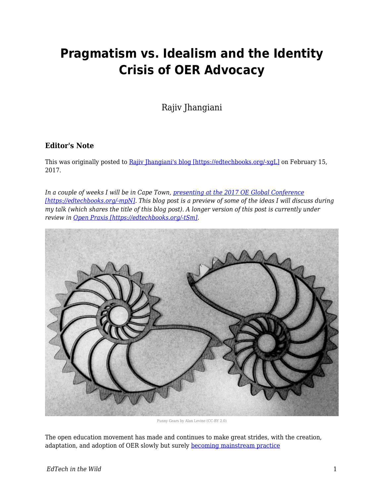# **Pragmatism vs. Idealism and the Identity Crisis of OER Advocacy**

Rajiv Jhangiani

### **Editor's Note**

This was originally posted to [Rajiv Jhangiani's blog \[https://edtechbooks.org/-xgL\]](http://thatpsychprof.com/pragmatism-vs-idealism-and-the-identity-crisis-of-oer-advocacy/) on February 15, 2017.

*In a couple of weeks I will be in Cape Town, [presenting at the 2017 OE Global Conference](http://conference.oeconsortium.org/2017/presentation/pragmatic-vs-idealism-and-the-identity-crisis-of-oer-advocacy/) [\[https://edtechbooks.org/-mpN\].](http://conference.oeconsortium.org/2017/presentation/pragmatic-vs-idealism-and-the-identity-crisis-of-oer-advocacy/) This blog post is a preview of some of the ideas I will discuss during my talk (which shares the title of this blog post). A longer version of this post is currently under review in [Open Praxis \[https://edtechbooks.org/-tSm\].](http://openpraxis.org/index.php/OpenPraxis/index)*



Funny Gears by Alan Levine (CC-BY 2.0)

The open education movement has made and continues to make great strides, with the creation, adaptation, and adoption of OER slowly but surely [becoming mainstream practice](http://www.onlinelearningsurvey.com/reports/openingthetextbook2016.pdf)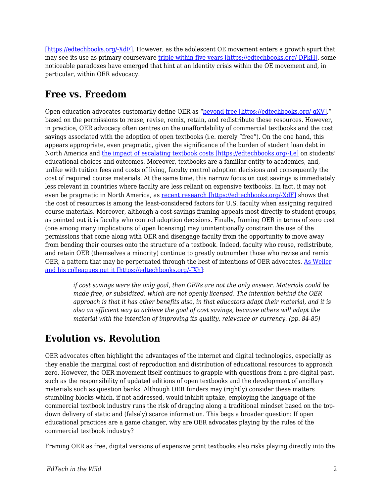[\[https://edtechbooks.org/-XdF\].](http://www.onlinelearningsurvey.com/reports/openingthetextbook2016.pdf) However, as the adolescent OE movement enters a growth spurt that may see its use as primary courseware [triple within five years \[https://edtechbooks.org/-DPkH\],](http://assets.cengage.com/pdf/wp_oer-evolving-higher-ed-landscape.pdf) some noticeable paradoxes have emerged that hint at an identity crisis within the OE movement and, in particular, within OER advocacy.

# **Free vs. Freedom**

Open education advocates customarily define OER as ["beyond free \[https://edtechbooks.org/-gXV\]](http://opencontent.org/blog/archives/3221)," based on the permissions to reuse, revise, remix, retain, and redistribute these resources. However, in practice, OER advocacy often centres on the unaffordability of commercial textbooks and the cost savings associated with the adoption of open textbooks (i.e. merely "free"). On the one hand, this appears appropriate, even pragmatic, given the significance of the burden of student loan debt in North America and [the impact of escalating textbook costs \[https://edtechbooks.org/-Le\]](http://www.studentpirgs.org/campaigns/sp/make-textbooks-affordable) on students' educational choices and outcomes. Moreover, textbooks are a familiar entity to academics, and, unlike with tuition fees and costs of living, faculty control adoption decisions and consequently the cost of required course materials. At the same time, this narrow focus on cost savings is immediately less relevant in countries where faculty are less reliant on expensive textbooks. In fact, it may not even be pragmatic in North America, as [recent research \[https://edtechbooks.org/-XdF\]](http://www.onlinelearningsurvey.com/reports/openingthetextbook2016.pdf) shows that the cost of resources is among the least-considered factors for U.S. faculty when assigning required course materials. Moreover, although a cost-savings framing appeals most directly to student groups, as pointed out it is faculty who control adoption decisions. Finally, framing OER in terms of zero cost (one among many implications of open licensing) may unintentionally constrain the use of the permissions that come along with OER and disengage faculty from the opportunity to move away from bending their courses onto the structure of a textbook. Indeed, faculty who reuse, redistribute, and retain OER (themselves a minority) continue to greatly outnumber those who revise and remix OER, a pattern that may be perpetuated through the best of intentions of OER advocates. [As Weller](http://www.openbookpublishers.com/htmlreader/978-1-78374-278-3/ch4.xhtml#_idTextAnchor014) [and his colleagues put it \[https://edtechbooks.org/-JXh\]:](http://www.openbookpublishers.com/htmlreader/978-1-78374-278-3/ch4.xhtml#_idTextAnchor014)

*if cost savings were the only goal, then OERs are not the only answer. Materials could be made free, or subsidized, which are not openly licensed. The intention behind the OER approach is that it has other benefits also, in that educators adapt their material, and it is also an efficient way to achieve the goal of cost savings, because others will adapt the material with the intention of improving its quality, relevance or currency. (pp. 84-85)*

### **Evolution vs. Revolution**

OER advocates often highlight the advantages of the internet and digital technologies, especially as they enable the marginal cost of reproduction and distribution of educational resources to approach zero. However, the OER movement itself continues to grapple with questions from a pre-digital past, such as the responsibility of updated editions of open textbooks and the development of ancillary materials such as question banks. Although OER funders may (rightly) consider these matters stumbling blocks which, if not addressed, would inhibit uptake, employing the language of the commercial textbook industry runs the risk of dragging along a traditional mindset based on the topdown delivery of static and (falsely) scarce information. This begs a broader question: If open educational practices are a game changer, why are OER advocates playing by the rules of the commercial textbook industry?

Framing OER as free, digital versions of expensive print textbooks also risks playing directly into the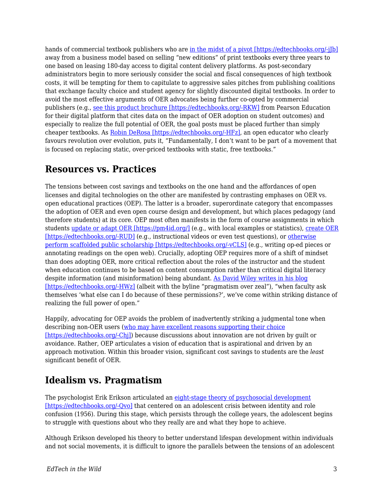hands of commercial textbook publishers who are in the midst of a pivot [https://edtechbooks.org/-j]b] away from a business model based on selling "new editions" of print textbooks every three years to one based on leasing 180-day access to digital content delivery platforms. As post-secondary administrators begin to more seriously consider the social and fiscal consequences of high textbook costs, it will be tempting for them to capitulate to aggressive sales pitches from publishing coalitions that exchange faculty choice and student agency for slightly discounted digital textbooks. In order to avoid the most effective arguments of OER advocates being further co-opted by commercial publishers (e.g., [see this product brochure \[https://edtechbooks.org/-RKW\]](https://www.pearsoned.com/wp-content/uploads/INSTR13104-DDAinfographic-V4.pdf) from Pearson Education for their digital platform that cites data on the impact of OER adoption on student outcomes) and especially to realize the full potential of OER, the goal posts must be placed further than simply cheaper textbooks. As [Robin DeRosa \[https://edtechbooks.org/-HFz\]](http://robinderosa.net/uncategorized/open-textbooks-ugh/), an open educator who clearly favours revolution over evolution, puts it, "Fundamentally, I don't want to be part of a movement that is focused on replacing static, over-priced textbooks with static, free textbooks."

# **Resources vs. Practices**

The tensions between cost savings and textbooks on the one hand and the affordances of open licenses and digital technologies on the other are manifested by contrasting emphases on OER vs. open educational practices (OEP). The latter is a broader, superordinate category that encompasses the adoption of OER and even open course design and development, but which places pedagogy (and therefore students) at its core. OEP most often manifests in the form of course assignments in which students [update or adapt OER \[https://pm4id.org/\]](https://pm4id.org/) (e.g., with local examples or statistics), [create OER](http://thatpsychprof.com/why-have-students-answer-questions-when-they-can-write-them/) [\[https://edtechbooks.org/-RUD\]](http://thatpsychprof.com/why-have-students-answer-questions-when-they-can-write-them/) (e.g., instructional videos or even test questions), or [otherwise](http://robinderosa.net/uncategorized/my-open-textbook-pedagogy-and-practice/) [perform scaffolded public scholarship \[https://edtechbooks.org/-vCLS\]](http://robinderosa.net/uncategorized/my-open-textbook-pedagogy-and-practice/) (e.g., writing op-ed pieces or annotating readings on the open web). Crucially, adopting OEP requires more of a shift of mindset than does adopting OER, more critical reflection about the roles of the instructor and the student when education continues to be based on content consumption rather than critical digital literacy despite information (and misinformation) being abundant. [As David Wiley writes in his blog](https://opencontent.org/blog/archives/4774) [\[https://edtechbooks.org/-HWz\]](https://opencontent.org/blog/archives/4774) (albeit with the byline "pragmatism over zeal"), "when faculty ask themselves 'what else can I do because of these permissions?', we've come within striking distance of realizing the full power of open."

Happily, advocating for OEP avoids the problem of inadvertently striking a judgmental tone when describing non-OER users ([who may have excellent reasons supporting their choice](http://thatpsychprof.com/a-faculty-perspective-on-open-textbooks/) [\[https://edtechbooks.org/-Chj\]\)](http://thatpsychprof.com/a-faculty-perspective-on-open-textbooks/) because discussions about innovation are not driven by guilt or avoidance. Rather, OEP articulates a vision of education that is aspirational and driven by an approach motivation. Within this broader vision, significant cost savings to students are the *least* significant benefit of OER.

# **Idealism vs. Pragmatism**

The psychologist Erik Erikson articulated an [eight-stage theory of psychosocial development](http://www.simplypsychology.org/Erik-Erikson.html) [\[https://edtechbooks.org/-Qvo\]](http://www.simplypsychology.org/Erik-Erikson.html) that centered on an adolescent crisis between identity and role confusion (1956). During this stage, which persists through the college years, the adolescent begins to struggle with questions about who they really are and what they hope to achieve.

Although Erikson developed his theory to better understand lifespan development within individuals and not social movements, it is difficult to ignore the parallels between the tensions of an adolescent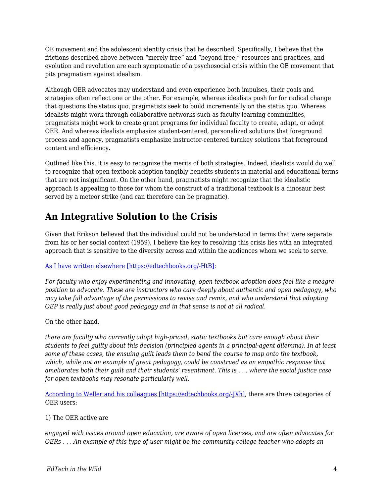OE movement and the adolescent identity crisis that he described. Specifically, I believe that the frictions described above between "merely free" and "beyond free," resources and practices, and evolution and revolution are each symptomatic of a psychosocial crisis within the OE movement that pits pragmatism against idealism.

Although OER advocates may understand and even experience both impulses, their goals and strategies often reflect one or the other. For example, whereas idealists push for for radical change that questions the status quo, pragmatists seek to build incrementally on the status quo. Whereas idealists might work through collaborative networks such as faculty learning communities, pragmatists might work to create grant programs for individual faculty to create, adapt, or adopt OER. And whereas idealists emphasize student-centered, personalized solutions that foreground process and agency, pragmatists emphasize instructor-centered turnkey solutions that foreground content and efficiency**.**

Outlined like this, it is easy to recognize the merits of both strategies. Indeed, idealists would do well to recognize that open textbook adoption tangibly benefits students in material and educational terms that are not insignificant. On the other hand, pragmatists might recognize that the idealistic approach is appealing to those for whom the construct of a traditional textbook is a dinosaur best served by a meteor strike (and can therefore can be pragmatic).

# **An Integrative Solution to the Crisis**

Given that Erikson believed that the individual could not be understood in terms that were separate from his or her social context (1959), I believe the key to resolving this crisis lies with an integrated approach that is sensitive to the diversity across and within the audiences whom we seek to serve.

### [As I have written elsewhere \[https://edtechbooks.org/-HtB\]:](http://thatpsychprof.com/are-open-textbooks-the-end-game/)

*For faculty who enjoy experimenting and innovating, open textbook adoption does feel like a meagre position to advocate. These are instructors who care deeply about authentic and open pedagogy, who may take full advantage of the permissions to revise and remix, and who understand that adopting OEP is really just about good pedagogy and in that sense is not at all radical.*

On the other hand,

*there are faculty who currently adopt high-priced, static textbooks but care enough about their students to feel guilty about this decision (principled agents in a principal-agent dilemma). In at least some of these cases, the ensuing guilt leads them to bend the course to map onto the textbook, which, while not an example of great pedagogy, could be construed as an empathic response that ameliorates both their guilt and their students' resentment. This is . . . where the social justice case for open textbooks may resonate particularly well.*

[According to Weller and his colleagues \[https://edtechbooks.org/-JXh\]](http://www.openbookpublishers.com/htmlreader/978-1-78374-278-3/ch4.xhtml#_idTextAnchor014), there are three categories of OER users:

### 1) The OER active are

*engaged with issues around open education, are aware of open licenses, and are often advocates for OERs . . . An example of this type of user might be the community college teacher who adopts an*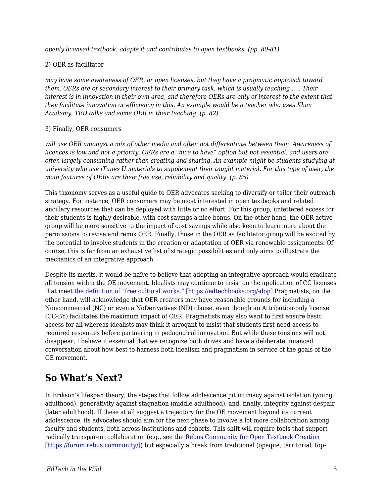*openly licensed textbook, adapts it and contributes to open textbooks. (pp. 80-81)*

#### 2) OER as facilitator

*may have some awareness of OER, or open licenses, but they have a pragmatic approach toward them. OERs are of secondary interest to their primary task, which is usually teaching . . . Their interest is in innovation in their own area, and therefore OERs are only of interest to the extent that they facilitate innovation or efficiency in this. An example would be a teacher who uses Khan Academy, TED talks and some OER in their teaching. (p. 82)*

#### 3) Finally, OER consumers

*will use OER amongst a mix of other media and often not differentiate between them. Awareness of licences is low and not a priority. OERs are a "nice to have" option but not essential, and users are often largely consuming rather than creating and sharing. An example might be students studying at university who use iTunes U materials to supplement their taught material. For this type of user, the main features of OERs are their free use, reliability and quality. (p. 85)*

This taxonomy serves as a useful guide to OER advocates seeking to diversify or tailor their outreach strategy. For instance, OER consumers may be most interested in open textbooks and related ancillary resources that can be deployed with little or no effort. For this group, unfettered access for their students is highly desirable, with cost savings a nice bonus. On the other hand, the OER active group will be more sensitive to the impact of cost savings while also keen to learn more about the permissions to revise and remix OER. Finally, those in the OER as facilitator group will be excited by the potential to involve students in the creation or adaptation of OER via renewable assignments. Of course, this is far from an exhaustive list of strategic possibilities and only aims to illustrate the mechanics of an integrative approach.

Despite its merits, it would be naïve to believe that adopting an integrative approach would eradicate all tension within the OE movement. Idealists may continue to insist on the application of CC licenses that meet [the definition of "free cultural works." \[https://edtechbooks.org/-dop\]](http://freedomdefined.org/Definition) Pragmatists, on the other hand, will acknowledge that OER creators may have reasonable grounds for including a Noncommercial (NC) or even a NoDerivatives (ND) clause, even though an Attribution-only license (CC-BY) facilitates the maximum impact of OER. Pragmatists may also want to first ensure basic access for all whereas idealists may think it arrogant to insist that students first need access to required resources before partnering in pedagogical innovation. But while these tensions will not disappear, I believe it essential that we recognize both drives and have a deliberate, nuanced conversation about how best to harness both idealism and pragmatism in service of the goals of the OE movement.

### **So What's Next?**

In Erikson's lifespan theory, the stages that follow adolescence pit intimacy against isolation (young adulthood), generativity against stagnation (middle adulthood), and, finally, integrity against despair (later adulthood). If these at all suggest a trajectory for the OE movement beyond its current adolescence, its advocates should aim for the next phase to involve a lot more collaboration among faculty and students, both across institutions and cohorts. This shift will require tools that support radically transparent collaboration (e.g., see the [Rebus Community for Open Textbook Creation](https://forum.rebus.community/) [\[https://forum.rebus.community/\]](https://forum.rebus.community/)) but especially a break from traditional (opaque, territorial, top